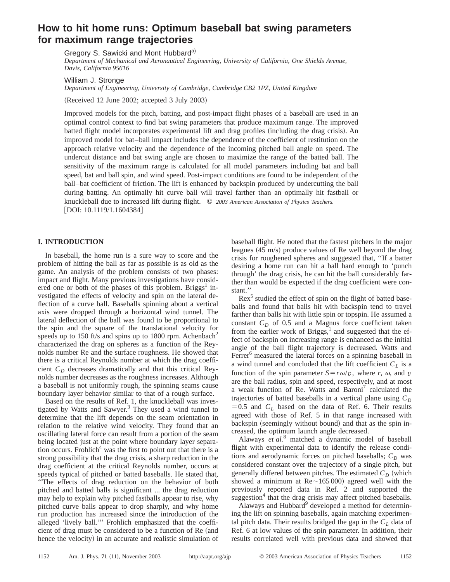# **How to hit home runs: Optimum baseball bat swing parameters for maximum range trajectories**

Gregory S. Sawicki and Mont Hubbard<sup>a)</sup>

*Department of Mechanical and Aeronautical Engineering, University of California, One Shields Avenue, Davis, California 95616*

William J. Stronge

*Department of Engineering, University of Cambridge, Cambridge CB2 1PZ, United Kingdom*

(Received 12 June 2002; accepted 3 July 2003)

Improved models for the pitch, batting, and post-impact flight phases of a baseball are used in an optimal control context to find bat swing parameters that produce maximum range. The improved batted flight model incorporates experimental lift and drag profiles (including the drag crisis). An improved model for bat–ball impact includes the dependence of the coefficient of restitution on the approach relative velocity and the dependence of the incoming pitched ball angle on speed. The undercut distance and bat swing angle are chosen to maximize the range of the batted ball. The sensitivity of the maximum range is calculated for all model parameters including bat and ball speed, bat and ball spin, and wind speed. Post-impact conditions are found to be independent of the ball–bat coefficient of friction. The lift is enhanced by backspin produced by undercutting the ball during batting. An optimally hit curve ball will travel farther than an optimally hit fastball or knuckleball due to increased lift during flight. © *2003 American Association of Physics Teachers.*  $[$ DOI: 10.1119/1.1604384 $]$ 

# **I. INTRODUCTION**

In baseball, the home run is a sure way to score and the problem of hitting the ball as far as possible is as old as the game. An analysis of the problem consists of two phases: impact and flight. Many previous investigations have considered one or both of the phases of this problem. Briggs<sup>1</sup> investigated the effects of velocity and spin on the lateral deflection of a curve ball. Baseballs spinning about a vertical axis were dropped through a horizontal wind tunnel. The lateral deflection of the ball was found to be proportional to the spin and the square of the translational velocity for speeds up to 150 ft/s and spins up to 1800 rpm. Achenbach<sup>2</sup> characterized the drag on spheres as a function of the Reynolds number Re and the surface roughness. He showed that there is a critical Reynolds number at which the drag coefficient  $C_D$  decreases dramatically and that this critical Reynolds number decreases as the roughness increases. Although a baseball is not uniformly rough, the spinning seams cause boundary layer behavior similar to that of a rough surface.

Based on the results of Ref. 1, the knuckleball was investigated by Watts and Sawyer.<sup>3</sup> They used a wind tunnel to determine that the lift depends on the seam orientation in relation to the relative wind velocity. They found that an oscillating lateral force can result from a portion of the seam being located just at the point where boundary layer separation occurs. Frohlich<sup>4</sup> was the first to point out that there is a strong possibility that the drag crisis, a sharp reduction in the drag coefficient at the critical Reynolds number, occurs at speeds typical of pitched or batted baseballs. He stated that, ''The effects of drag reduction on the behavior of both pitched and batted balls is significant ... the drag reduction may help to explain why pitched fastballs appear to rise, why pitched curve balls appear to drop sharply, and why home run production has increased since the introduction of the alleged 'lively ball.''' Frohlich emphasized that the coefficient of drag must be considered to be a function of Re (and hence the velocity) in an accurate and realistic simulation of

baseball flight. He noted that the fastest pitchers in the major leagues  $(45 \text{ m/s})$  produce values of Re well beyond the drag crisis for roughened spheres and suggested that, ''If a batter desiring a home run can hit a ball hard enough to 'punch through' the drag crisis, he can hit the ball considerably farther than would be expected if the drag coefficient were constant.''

 $\text{Rex}^5$  studied the effect of spin on the flight of batted baseballs and found that balls hit with backspin tend to travel farther than balls hit with little spin or topspin. He assumed a constant  $C_D$  of 0.5 and a Magnus force coefficient taken from the earlier work of Briggs, $<sup>1</sup>$  and suggested that the ef-</sup> fect of backspin on increasing range is enhanced as the initial angle of the ball flight trajectory is decreased. Watts and Ferrer<sup>6</sup> measured the lateral forces on a spinning baseball in a wind tunnel and concluded that the lift coefficient  $C_L$  is a function of the spin parameter  $S = r\omega/v$ , where *r*,  $\omega$ , and *v* are the ball radius, spin and speed, respectively, and at most a weak function of Re. Watts and Baroni<sup>7</sup> calculated the trajectories of batted baseballs in a vertical plane using  $C_D$  $=0.5$  and  $C_L$  based on the data of Ref. 6. Their results agreed with those of Ref. 5 in that range increased with backspin (seemingly without bound) and that as the spin increased, the optimum launch angle decreased.

Alaways *et al.*<sup>8</sup> matched a dynamic model of baseball flight with experimental data to identify the release conditions and aerodynamic forces on pitched baseballs;  $C_D$  was considered constant over the trajectory of a single pitch, but generally differed between pitches. The estimated  $C_D$  (which showed a minimum at  $\text{Re}$  ~165 000) agreed well with the previously reported data in Ref. 2 and supported the suggestion<sup>4</sup> that the drag crisis may affect pitched baseballs.

Alaways and Hubbard<sup>9</sup> developed a method for determining the lift on spinning baseballs, again matching experimental pitch data. Their results bridged the gap in the  $C_L$  data of Ref. 6 at low values of the spin parameter. In addition, their results correlated well with previous data and showed that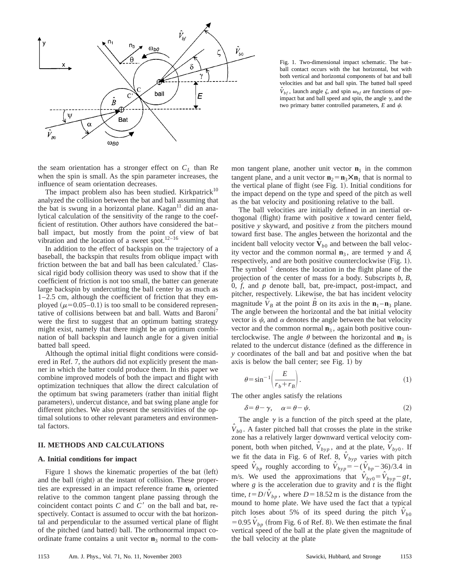

Fig. 1. Two-dimensional impact schematic. The bat– ball contact occurs with the bat horizontal, but with both vertical and horizontal components of bat and ball velocities and bat and ball spin. The batted ball speed  $\hat{V}_{bf}$ , launch angle  $\zeta$ , and spin  $\omega_{bf}$  are functions of preimpact bat and ball speed and spin, the angle  $\gamma$ , and the two primary batter controlled parameters,  $E$  and  $\psi$ .

the seam orientation has a stronger effect on  $C_L$  than Re when the spin is small. As the spin parameter increases, the influence of seam orientation decreases.

The impact problem also has been studied. Kirkpatrick<sup>10</sup> analyzed the collision between the bat and ball assuming that the bat is swung in a horizontal plane. Kagan $11$  did an analytical calculation of the sensitivity of the range to the coefficient of restitution. Other authors have considered the bat– ball impact, but mostly from the point of view of bat vibration and the location of a sweet spot.12–16

In addition to the effect of backspin on the trajectory of a baseball, the backspin that results from oblique impact with friction between the bat and ball has been calculated.<sup>7</sup> Classical rigid body collision theory was used to show that if the coefficient of friction is not too small, the batter can generate large backspin by undercutting the ball center by as much as 1–2.5 cm, although the coefficient of friction that they employed ( $\mu$ =0.05–0.1) is too small to be considered representative of collisions between bat and ball. Watts and Baroni<sup>'</sup> were the first to suggest that an optimum batting strategy might exist, namely that there might be an optimum combination of ball backspin and launch angle for a given initial batted ball speed.

Although the optimal initial flight conditions were considered in Ref. 7, the authors did not explicitly present the manner in which the batter could produce them. In this paper we combine improved models of both the impact and flight with optimization techniques that allow the direct calculation of the optimum bat swing parameters (rather than initial flight parameters), undercut distance, and bat swing plane angle for different pitches. We also present the sensitivities of the optimal solutions to other relevant parameters and environmental factors.

# **II. METHODS AND CALCULATIONS**

#### **A. Initial conditions for impact**

Figure 1 shows the kinematic properties of the bat  $(left)$ and the ball (right) at the instant of collision. These properties are expressed in an impact reference frame **n***<sup>i</sup>* oriented relative to the common tangent plane passing through the coincident contact points  $C$  and  $C'$  on the ball and bat, respectively. Contact is assumed to occur with the bat horizontal and perpendicular to the assumed vertical plane of flight of the pitched (and batted) ball. The orthonormal impact coordinate frame contains a unit vector  $\mathbf{n}_3$  normal to the common tangent plane, another unit vector  $\mathbf{n}_1$  in the common tangent plane, and a unit vector  $\mathbf{n}_2 = \mathbf{n}_3 \times \mathbf{n}_1$  that is normal to the vertical plane of flight (see Fig. 1). Initial conditions for the impact depend on the type and speed of the pitch as well as the bat velocity and positioning relative to the ball.

The ball velocities are initially defined in an inertial orthogonal (flight) frame with positive  $x$  toward center field, positive *y* skyward, and positive *z* from the pitchers mound toward first base. The angles between the horizontal and the incident ball velocity vector  $\hat{V}_{b0}$  and between the ball velocity vector and the common normal  $\mathbf{n}_3$ , are termed  $\gamma$  and  $\delta$ , respectively, and are both positive counterclockwise (Fig. 1). The symbol *ˆ* denotes the location in the flight plane of the projection of the center of mass for a body. Subscripts *b*, *B*, 0, *f*, and *p* denote ball, bat, pre-impact, post-impact, and pitcher, respectively. Likewise, the bat has incident velocity magnitude  $\hat{V}_B$  at the point  $\hat{B}$  on its axis in the  $\mathbf{n}_1 - \mathbf{n}_3$  plane. The angle between the horizontal and the bat initial velocity vector is  $\psi$ , and  $\alpha$  denotes the angle between the bat velocity vector and the common normal  $n_3$ , again both positive counterclockwise. The angle  $\theta$  between the horizontal and **n**<sub>3</sub> is related to the undercut distance (defined as the difference in *y* coordinates of the ball and bat and positive when the bat axis is below the ball center; see Fig.  $1$ ) by

$$
\theta = \sin^{-1}\left(\frac{E}{r_b + r_B}\right). \tag{1}
$$

The other angles satisfy the relations

$$
\delta = \theta - \gamma, \quad \alpha = \theta - \psi. \tag{2}
$$

The angle  $\gamma$  is a function of the pitch speed at the plate,  $\hat{V}_{b0}$ . A faster pitched ball that crosses the plate in the strike zone has a relatively larger downward vertical velocity component, both when pitched,  $\hat{V}_{hyp}$ , and at the plate,  $\hat{V}_{hyp}$ . If we fit the data in Fig. 6 of Ref. 8,  $\hat{V}_{hyp}$  varies with pitch speed  $\hat{V}_{bp}$  roughly according to  $\hat{V}_{byp} = -(\hat{V}_{bp} - 36)/3.4$  in m/s. We used the approximations that  $\hat{V}_{by0} = \hat{V}_{byp} - gt$ , where  $g$  is the acceleration due to gravity and  $t$  is the flight time,  $t = D/\hat{V}_{bp}$ , where  $D = 18.52$  m is the distance from the mound to home plate. We have used the fact that a typical pitch loses about 5% of its speed during the pitch  $\hat{V}_{b0}$  $=0.95 \hat{V}_{bp}$  (from Fig. 6 of Ref. 8). We then estimate the final vertical speed of the ball at the plate given the magnitude of the ball velocity at the plate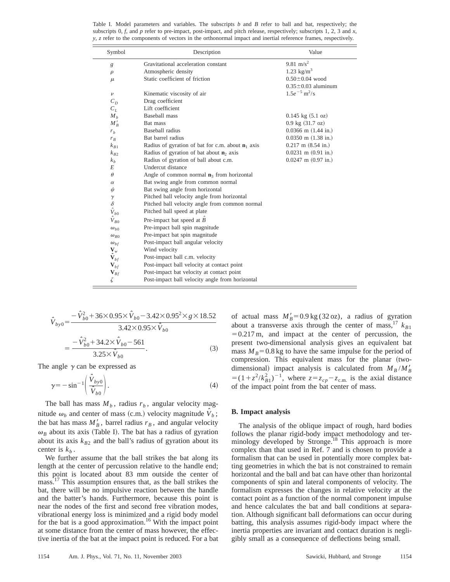Table I. Model parameters and variables. The subscripts *b* and *B* refer to ball and bat, respectively; the subscripts 0, *f*, and *p* refer to pre-impact, post-impact, and pitch release, respectively; subscripts 1, 2, 3 and *x*, *y*, *z* refer to the components of vectors in the orthonormal impact and inertial reference frames, respectively.

| Symbol                     | Description                                                  | Value                               |  |  |  |  |
|----------------------------|--------------------------------------------------------------|-------------------------------------|--|--|--|--|
| g                          | Gravitational acceleration constant                          | 9.81 m/s <sup>2</sup>               |  |  |  |  |
| $\rho$                     | Atmospheric density                                          | 1.23 $\text{kg/m}^3$                |  |  |  |  |
| $\mu$                      | Static coefficient of friction                               | $0.50 \pm 0.04$ wood                |  |  |  |  |
|                            |                                                              | $0.35 \pm 0.03$ aluminum            |  |  |  |  |
| $\boldsymbol{\nu}$         | Kinematic viscosity of air                                   | $1.5e^{-5}$ m <sup>2</sup> /s       |  |  |  |  |
| $C_D$                      | Drag coefficient                                             |                                     |  |  |  |  |
| $C_L$                      | Lift coefficient                                             |                                     |  |  |  |  |
| $M_h$                      | <b>Baseball</b> mass                                         | $0.145 \text{ kg} (5.1 \text{ oz})$ |  |  |  |  |
| $M'_R$                     | Bat mass                                                     | $0.9 \text{ kg} (31.7 \text{ oz})$  |  |  |  |  |
| $r_h$                      | Baseball radius                                              | $0.0366$ m $(1.44$ in.)             |  |  |  |  |
| $r_B$                      | Bat barrel radius                                            | $0.0350$ m $(1.38$ in.)             |  |  |  |  |
| $k_{B1}$                   | Radius of gyration of bat for c.m. about $\mathbf{n}_1$ axis | $0.217$ m $(8.54$ in.)              |  |  |  |  |
| $k_{B2}$                   | Radius of gyration of bat about $\mathbf{n}_2$ axis          | $0.0231$ m $(0.91$ in.)             |  |  |  |  |
| k <sub>b</sub>             | Radius of gyration of ball about c.m.                        | $0.0247$ m $(0.97$ in.)             |  |  |  |  |
| E                          | Undercut distance                                            |                                     |  |  |  |  |
| $\theta$                   | Angle of common normal $n_3$ from horizontal                 |                                     |  |  |  |  |
| $\alpha$                   | Bat swing angle from common normal                           |                                     |  |  |  |  |
| ψ                          | Bat swing angle from horizontal                              |                                     |  |  |  |  |
| $\gamma$                   | Pitched ball velocity angle from horizontal                  |                                     |  |  |  |  |
| $\delta$                   | Pitched ball velocity angle from common normal               |                                     |  |  |  |  |
| $\hat{V}_{b0}$             | Pitched ball speed at plate                                  |                                     |  |  |  |  |
| $\hat{V}_{B0}$             | Pre-impact bat speed at $\ddot{B}$                           |                                     |  |  |  |  |
| $\omega_{b0}$              | Pre-impact ball spin magnitude                               |                                     |  |  |  |  |
| $\omega_{B0}$              | Pre-impact bat spin magnitude                                |                                     |  |  |  |  |
| $\omega_{bf}$              | Post-impact ball angular velocity                            |                                     |  |  |  |  |
| $\mathbf{V}_w$             | Wind velocity                                                |                                     |  |  |  |  |
| $\hat{\mathbf{V}}_{bf}$    | Post-impact ball c.m. velocity                               |                                     |  |  |  |  |
| $\mathbf{V}_{bf}$          | Post-impact ball velocity at contact point                   |                                     |  |  |  |  |
| $\mathbf{V}_{\mathit{Bf}}$ | Post-impact bat velocity at contact point                    |                                     |  |  |  |  |
| ζ                          | Post-impact ball velocity angle from horizontal              |                                     |  |  |  |  |

$$
\hat{V}_{b y 0} = \frac{-\hat{V}_{b0}^2 + 36 \times 0.95 \times \hat{V}_{b0} - 3.42 \times 0.95^2 \times g \times 18.52}{3.42 \times 0.95 \times \hat{V}_{b0}}
$$
\n
$$
= \frac{-\hat{V}_{b0}^2 + 34.2 \times \hat{V}_{b0} - 561}{3.25 \times \hat{V}_{b0}}.
$$
\n(3)

The angle  $\gamma$  can be expressed as

$$
\gamma = -\sin^{-1}\left(\frac{\hat{V}_{by0}}{\hat{V}_{b0}}\right). \tag{4}
$$

The ball has mass  $M_b$ , radius  $r_b$ , angular velocity magnitude  $\omega_b$  and center of mass (c.m.) velocity magnitude  $\hat{V}_b$ ; the bat has mass  $M'_B$ , barrel radius  $r_B$ , and angular velocity  $\omega_B$  about its axis (Table I). The bat has a radius of gyration about its axis  $k_{B2}$  and the ball's radius of gyration about its center is  $k<sub>b</sub>$ .

We further assume that the ball strikes the bat along its length at the center of percussion relative to the handle end; this point is located about 83 mm outside the center of mass.<sup>17</sup> This assumption ensures that, as the ball strikes the bat, there will be no impulsive reaction between the handle and the batter's hands. Furthermore, because this point is near the nodes of the first and second free vibration modes, vibrational energy loss is minimized and a rigid body model for the bat is a good approximation.<sup>16</sup> With the impact point at some distance from the center of mass however, the effective inertia of the bat at the impact point is reduced. For a bat

of actual mass  $M'_B = 0.9 \text{ kg} (32 \text{ oz})$ , a radius of gyration about a transverse axis through the center of mass,  $17 k_{B1}$  $=0.217 \text{ m}$ , and impact at the center of percussion, the present two-dimensional analysis gives an equivalent bat mass  $M_B$ =0.8 kg to have the same impulse for the period of compression. This equivalent mass for the planar (twodimensional) impact analysis is calculated from  $M_B/M_B^{\prime}$  $= (1 + z^2/k_{B1}^2)^{-1}$ , where  $z = z_{cp} - z_{c.m.}$  is the axial distance of the impact point from the bat center of mass.

#### **B. Impact analysis**

The analysis of the oblique impact of rough, hard bodies follows the planar rigid-body impact methodology and terminology developed by Stronge.<sup>18</sup> This approach is more complex than that used in Ref. 7 and is chosen to provide a formalism that can be used in potentially more complex batting geometries in which the bat is not constrained to remain horizontal and the ball and bat can have other than horizontal components of spin and lateral components of velocity. The formalism expresses the changes in relative velocity at the contact point as a function of the normal component impulse and hence calculates the bat and ball conditions at separation. Although significant ball deformations can occur during batting, this analysis assumes rigid-body impact where the inertia properties are invariant and contact duration is negligibly small as a consequence of deflections being small.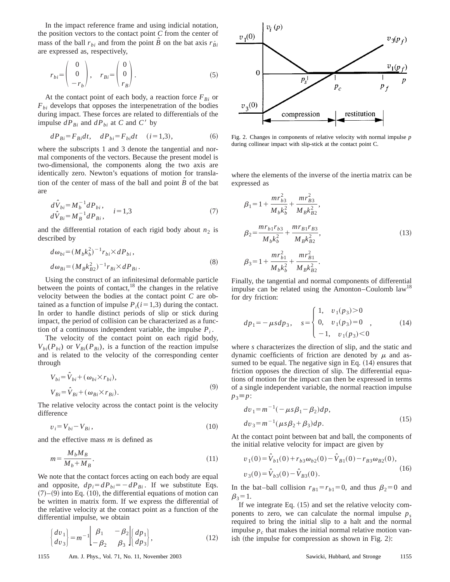In the impact reference frame and using indicial notation, the position vectors to the contact point *C* from the center of mass of the ball  $r_{bi}$  and from the point  $\hat{B}$  on the bat axis  $r_{Bi}$ are expressed as, respectively,

$$
r_{bi} = \begin{pmatrix} 0 \\ 0 \\ -r_b \end{pmatrix}, \quad r_{Bi} = \begin{pmatrix} 0 \\ 0 \\ r_B \end{pmatrix}.
$$
 (5)

At the contact point of each body, a reaction force  $F_{Bi}$  or  $F_{bi}$  develops that opposes the interpenetration of the bodies during impact. These forces are related to differentials of the impulse  $dP_{Bi}$  and  $dP_{bi}$  at *C* and *C'* by

$$
dP_{Bi} = F_{Bi}dt, \quad dP_{bi} = F_{bi}dt \quad (i = 1,3), \tag{6}
$$

where the subscripts 1 and 3 denote the tangential and normal components of the vectors. Because the present model is two-dimensional, the components along the two axis are identically zero. Newton's equations of motion for translation of the center of mass of the ball and point  $\hat{B}$  of the bat are

$$
d\hat{V}_{bi} = M_b^{-1} dP_{bi}, d\hat{V}_{Bi} = M_B^{-1} dP_{Bi}, \qquad i = 1,3
$$
 (7)

and the differential rotation of each rigid body about  $n_2$  is described by

$$
d\omega_{bi} = (M_b k_b^2)^{-1} r_{bi} \times dP_{bi},
$$
  
\n
$$
d\omega_{Bi} = (M_B k_{B2}^2)^{-1} r_{Bi} \times dP_{Bi}.
$$
\n(8)

Using the construct of an infinitesimal deformable particle between the points of contact, $^{18}$  the changes in the relative velocity between the bodies at the contact point *C* are obtained as a function of impulse  $P_i(i=1,3)$  during the contact. In order to handle distinct periods of slip or stick during impact, the period of collision can be characterized as a function of a continuous independent variable, the impulse  $P_i$ .

The velocity of the contact point on each rigid body,  $V_{bi}(P_{bi})$  or  $V_{Bi}(P_{Bi})$ , is a function of the reaction impulse and is related to the velocity of the corresponding center through

$$
V_{bi} = \hat{V}_{bi} + (\omega_{bi} \times r_{bi}),
$$
  
\n
$$
V_{Bi} = \hat{V}_{Bi} + (\omega_{Bi} \times r_{Bi}).
$$
\n(9)

The relative velocity across the contact point is the velocity difference

$$
v_i = V_{bi} - V_{Bi},\tag{10}
$$

and the effective mass *m* is defined as

$$
m = \frac{M_b M_B}{M_b + M_B}.\tag{11}
$$

We note that the contact forces acting on each body are equal and opposite,  $dp_i = dP_{bi} = -dP_{Bi}$ . If we substitute Eqs.  $(7)$ – $(9)$  into Eq.  $(10)$ , the differential equations of motion can be written in matrix form. If we express the differential of the relative velocity at the contact point as a function of the differential impulse, we obtain

$$
\begin{cases}\ndv_1 \\
dv_3\n\end{cases} = m^{-1} \begin{bmatrix} \beta_1 & -\beta_2 \\ -\beta_2 & \beta_3 \end{bmatrix} \begin{cases} dp_1 \\ dp_3 \end{cases},
$$
\n(12)



Fig. 2. Changes in components of relative velocity with normal impulse *p* during collinear impact with slip-stick at the contact point C.

where the elements of the inverse of the inertia matrix can be expressed as

$$
\beta_1 = 1 + \frac{mr_{b3}^2}{M_b k_b^2} + \frac{mr_{B3}^2}{M_B k_{B2}^2},
$$
  
\n
$$
\beta_2 = \frac{mr_{b1}r_{b3}}{M_b k_b^2} + \frac{mr_{B1}r_{b3}}{M_B k_{B2}^2},
$$
  
\n
$$
\beta_3 = 1 + \frac{mr_{b1}^2}{M_b k_b^2} + \frac{mr_{B1}^2}{M_B k_{B2}^2}.
$$
\n(13)

Finally, the tangential and normal components of differential impulse can be related using the Amonton–Coulomb  $law<sup>18</sup>$ for dry friction:

$$
dp_1 = -\mu s dp_3, \quad s = \begin{cases} 1, & v_1(p_3) > 0 \\ 0, & v_1(p_3) = 0 \\ -1, & v_1(p_3) < 0 \end{cases}
$$
 (14)

where *s* characterizes the direction of slip, and the static and dynamic coefficients of friction are denoted by  $\mu$  and assumed to be equal. The negative sign in Eq.  $(14)$  ensures that friction opposes the direction of slip. The differential equations of motion for the impact can then be expressed in terms of a single independent variable, the normal reaction impulse  $p_3 \equiv p$ :

$$
dv_1 = m^{-1}(-\mu s \beta_1 - \beta_2) dp,
$$
  
\n
$$
dv_3 = m^{-1}(\mu s \beta_2 + \beta_3) dp.
$$
\n(15)

At the contact point between bat and ball, the components of the initial relative velocity for impact are given by

$$
v_1(0) = \hat{V}_{b1}(0) + r_{b3}\omega_{b2}(0) - \hat{V}_{B1}(0) - r_{B3}\omega_{B2}(0),
$$
  

$$
v_3(0) = \hat{V}_{b3}(0) - \hat{V}_{B3}(0).
$$
 (16)

In the bat–ball collision  $r_{B1} = r_{b1} = 0$ , and thus  $\beta_2 = 0$  and  $\beta_3=1.$ 

If we integrate Eq.  $(15)$  and set the relative velocity components to zero, we can calculate the normal impulse  $p_s$ required to bring the initial slip to a halt and the normal impulse  $p_c$  that makes the initial normal relative motion vanish (the impulse for compression as shown in Fig. 2):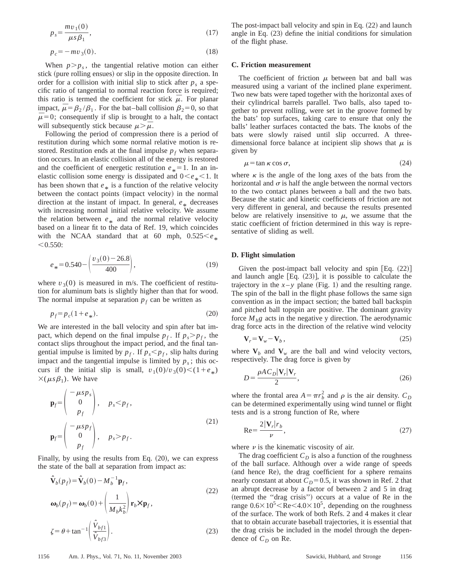$$
p_s = \frac{mv_1(0)}{\mu s \beta_1},\tag{17}
$$

$$
p_c = -mv_3(0). \t\t(18)
$$

When  $p > p_s$ , the tangential relative motion can either stick (pure rolling ensues) or slip in the opposite direction. In order for a collision with initial slip to stick after  $p<sub>s</sub>$  a specific ratio of tangential to normal reaction force is required; this ratio is termed the coefficient for stick  $\bar{\mu}$ . For planar impact,  $\bar{\mu} = \beta_2 / \beta_1$ . For the bat–ball collision  $\beta_2 = 0$ , so that  $\bar{\mu}$ =0; consequently if slip is brought to a halt, the contact will subsequently stick because  $\mu > \bar{\mu}$ .

Following the period of compression there is a period of restitution during which some normal relative motion is restored. Restitution ends at the final impulse  $p_f$  when separation occurs. In an elastic collision all of the energy is restored and the coefficient of energetic restitution  $e_* = 1$ . In an inelastic collision some energy is dissipated and  $0 < e_* < 1$ . It has been shown that  $e_{*}$  is a function of the relative velocity between the contact points (impact velocity) in the normal direction at the instant of impact. In general,  $e_*$  decreases with increasing normal initial relative velocity. We assume the relation between  $e_{\ast}$  and the normal relative velocity<br>heapd on a linear fit to the data of Bof. 10, which coincides based on a linear fit to the data of Ref. 19, which coincides with the NCAA standard that at 60 mph,  $0.525 \le e_*$ <br>  $< 0.550$ :

$$
e_* = 0.540 - \left(\frac{v_3(0) - 26.8}{400}\right),\tag{19}
$$

where  $v_3(0)$  is measured in m/s. The coefficient of restitution for aluminum bats is slightly higher than that for wood. The normal impulse at separation  $p_f$  can be written as

$$
p_f = p_c (1 + e_*). \tag{20}
$$

We are interested in the ball velocity and spin after bat impact, which depend on the final impulse  $p_f$ . If  $p_s > p_f$ , the contact slips throughout the impact period, and the final tangential impulse is limited by  $p_f$ . If  $p_s < p_f$ , slip halts during impact and the tangential impulse is limited by  $p_s$ ; this occurs if the initial slip is small,  $v_1(0)/v_3(0) < (1+e_*)$  $\times(\mu s\beta_1)$ . We have

$$
\mathbf{p}_f = \begin{pmatrix} -\mu s p_s \\ 0 \\ p_f \end{pmatrix}, \quad p_s < p_f,
$$
  
\n
$$
\mathbf{p}_f = \begin{pmatrix} -\mu s p_f \\ 0 \\ p_f \end{pmatrix}, \quad p_s > p_f.
$$
\n(21)

Finally, by using the results from Eq.  $(20)$ , we can express the state of the ball at separation from impact as:

$$
\hat{\mathbf{V}}_b(p_f) = \hat{\mathbf{V}}_b(0) - M_b^{-1} \mathbf{p}_f,
$$
\n
$$
\boldsymbol{\omega}_b(p_f) = \boldsymbol{\omega}_b(0) + \left(\frac{1}{M_b k_b^2}\right) \mathbf{r}_b \times \mathbf{p}_f,
$$
\n
$$
\zeta = \theta + \tan^{-1} \left(\frac{\hat{V}_{bf1}}{\hat{V}_{bf3}}\right).
$$
\n(23)

The post-impact ball velocity and spin in Eq.  $(22)$  and launch angle in Eq.  $(23)$  define the initial conditions for simulation of the flight phase.

#### **C. Friction measurement**

The coefficient of friction  $\mu$  between bat and ball was measured using a variant of the inclined plane experiment. Two new bats were taped together with the horizontal axes of their cylindrical barrels parallel. Two balls, also taped together to prevent rolling, were set in the groove formed by the bats' top surfaces, taking care to ensure that only the balls' leather surfaces contacted the bats. The knobs of the bats were slowly raised until slip occurred. A threedimensional force balance at incipient slip shows that  $\mu$  is given by

$$
\mu = \tan \kappa \cos \sigma,\tag{24}
$$

where  $\kappa$  is the angle of the long axes of the bats from the horizontal and  $\sigma$  is half the angle between the normal vectors to the two contact planes between a ball and the two bats. Because the static and kinetic coefficients of friction are not very different in general, and because the results presented below are relatively insensitive to  $\mu$ , we assume that the static coefficient of friction determined in this way is representative of sliding as well.

## **D. Flight simulation**

Given the post-impact ball velocity and spin  $[Eq. (22)]$ and launch angle  $[Eq. (23)]$ , it is possible to calculate the trajectory in the  $x - y$  plane (Fig. 1) and the resulting range. The spin of the ball in the flight phase follows the same sign convention as in the impact section; the batted ball backspin and pitched ball topspin are positive. The dominant gravity force  $M_b$ g acts in the negative y direction. The aerodynamic drag force acts in the direction of the relative wind velocity

$$
\mathbf{V}_r = \mathbf{V}_w - \mathbf{V}_b \,,\tag{25}
$$

where  $V_b$  and  $V_w$  are the ball and wind velocity vectors, respectively. The drag force is given by

$$
D = \frac{\rho A C_D |\mathbf{V}_r| \mathbf{V}_r}{2},\tag{26}
$$

where the frontal area  $A = \pi r_b^2$  and  $\rho$  is the air density.  $C_D$ can be determined experimentally using wind tunnel or flight tests and is a strong function of Re, where

$$
\text{Re} = \frac{2|\mathbf{V}_r|r_b}{\nu},\tag{27}
$$

where  $\nu$  is the kinematic viscosity of air.

The drag coefficient  $C_D$  is also a function of the roughness of the ball surface. Although over a wide range of speeds (and hence Re), the drag coefficient for a sphere remains nearly constant at about  $C_D=0.5$ , it was shown in Ref. 2 that an abrupt decrease by a factor of between 2 and 5 in drag (termed the "drag crisis") occurs at a value of Re in the range  $0.6 \times 10^5 \leq \text{Re} \leq 4.0 \times 10^5$ , depending on the roughness of the surface. The work of both Refs. 2 and 4 makes it clear that to obtain accurate baseball trajectories, it is essential that the drag crisis be included in the model through the dependence of  $C_D$  on Re.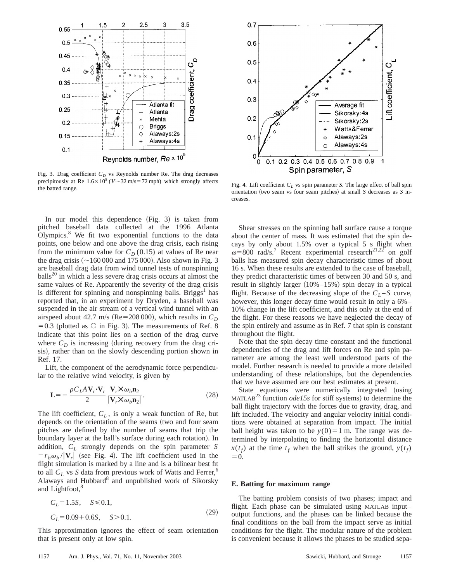

Fig. 3. Drag coefficient  $C_D$  vs Reynolds number Re. The drag decreases precipitously at Re  $1.6 \times 10^5$  (*V* $\sim$  32 m/s=72 mph) which strongly affects precipitously at Re 1.0 $\land$ 10 ( $\check{V}$   $\sim$  52 hrs - 72 hiph) which strongly arrects Fig. 4. Lift coefficient  $C_L$  vs spin parameter *S*. The large effect of ball spin the batted range.

In our model this dependence  $(Fig. 3)$  is taken from pitched baseball data collected at the 1996 Atlanta Olympics. $8$  We fit two exponential functions to the data points, one below and one above the drag crisis, each rising from the minimum value for  $C_D(0.15)$  at values of Re near the drag crisis  $({\sim}160\,000$  and 175 000). Also shown in Fig. 3 are baseball drag data from wind tunnel tests of nonspinning  $balls<sup>20</sup>$  in which a less severe drag crisis occurs at almost the same values of Re. Apparently the severity of the drag crisis is different for spinning and nonspinning balls. Briggs<sup>1</sup> has reported that, in an experiment by Dryden, a baseball was suspended in the air stream of a vertical wind tunnel with an airspeed about 42.7 m/s (Re=208 000), which results in  $C_D$  $=0.3$  (plotted as  $\circ$  in Fig. 3). The measurements of Ref. 8 indicate that this point lies on a section of the drag curve where  $C_D$  is increasing (during recovery from the drag crisis), rather than on the slowly descending portion shown in Ref. 17.

Lift, the component of the aerodynamic force perpendicular to the relative wind velocity, is given by

$$
\mathbf{L} = -\frac{\rho C_L A \mathbf{V}_r \cdot \mathbf{V}_r}{2} \frac{\mathbf{V}_r \times \omega_b \mathbf{n}_2}{|\mathbf{V}_r \times \omega_b \mathbf{n}_2|}.
$$
 (28)

The lift coefficient,  $C_L$ , is only a weak function of Re, but depends on the orientation of the seams (two and four seam pitches are defined by the number of seams that trip the boundary layer at the ball's surface during each rotation). In addition, *CL* strongly depends on the spin parameter *S*  $=r_b\omega_b/|\mathbf{V}_r|$  (see Fig. 4). The lift coefficient used in the flight simulation is marked by a line and is a bilinear best fit to all  $C_L$  vs *S* data from previous work of Watts and Ferrer,<sup>6</sup> Alaways and Hubbard<sup>8</sup> and unpublished work of Sikorsky and Lightfoot,<sup>8</sup>

$$
C_L = 1.5S, \quad S \le 0.1,
$$
  

$$
C_L = 0.09 + 0.6S, \quad S > 0.1.
$$
 (29)

This approximation ignores the effect of seam orientation that is present only at low spin.



orientation (two seam vs four seam pitches) at small *S* decreases as *S* increases.

Shear stresses on the spinning ball surface cause a torque about the center of mass. It was estimated that the spin decays by only about 1.5% over a typical 5 s flight when  $\omega$ =800 rad/s.<sup>7</sup> Recent experimental research<sup>21,22</sup> on golf balls has measured spin decay characteristic times of about 16 s. When these results are extended to the case of baseball, they predict characteristic times of between 30 and 50 s, and result in slightly larger  $(10\% -15\%)$  spin decay in a typical flight. Because of the decreasing slope of the  $C_L - S$  curve, however, this longer decay time would result in only a 6%– 10% change in the lift coefficient, and this only at the end of the flight. For these reasons we have neglected the decay of the spin entirely and assume as in Ref. 7 that spin is constant throughout the flight.

Note that the spin decay time constant and the functional dependencies of the drag and lift forces on Re and spin parameter are among the least well understood parts of the model. Further research is needed to provide a more detailed understanding of these relationships, but the dependencies that we have assumed are our best estimates at present.

State equations were numerically integrated (using MATLAB<sup>23</sup> function  $ode15s$  for stiff systems) to determine the ball flight trajectory with the forces due to gravity, drag, and lift included. The velocity and angular velocity initial conditions were obtained at separation from impact. The initial ball height was taken to be  $y(0)=1$  m. The range was determined by interpolating to finding the horizontal distance  $x(t_f)$  at the time  $t_f$  when the ball strikes the ground,  $y(t_f)$  $=0.$ 

### **E. Batting for maximum range**

The batting problem consists of two phases; impact and flight. Each phase can be simulated using MATLAB input– output functions, and the phases can be linked because the final conditions on the ball from the impact serve as initial conditions for the flight. The modular nature of the problem is convenient because it allows the phases to be studied sepa-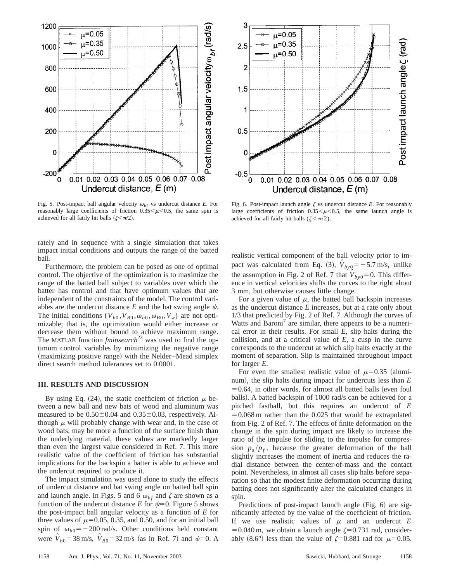

0.01 0.02 0.03 0.04 0.05 0.06 0.07 0.08  $\mathbf{0}$ Undercut distance,  $E(m)$ Fig. 6. Post-impact launch angle  $\zeta$  vs undercut distance *E*. For reasonably large coefficients of friction  $0.35<\mu<0.5$ , the same launch angle is

 $\mu$ =0.05

 $\mu$ =0.35

 $\mu$ =0.50

achieved for all fairly hit balls ( $\zeta \leq \pi/2$ ).

3

 $2.5$ 

2

 $1.5$ 

1

 $0.5$ 

0

 $-0.5$ 

Fig. 5. Post-impact ball angular velocity  $\omega_{bf}$  vs undercut distance *E*. For reasonably large coefficients of friction  $0.35<\mu<0.5$ , the same spin is achieved for all fairly hit balls  $(\zeta \le \pi/2)$ .

rately and in sequence with a single simulation that takes impact initial conditions and outputs the range of the batted ball.

Furthermore, the problem can be posed as one of optimal control. The objective of the optimization is to maximize the range of the batted ball subject to variables over which the batter has control and that have optimum values that are independent of the constraints of the model. The control variables are the undercut distance  $E$  and the bat swing angle  $\psi$ . The initial conditions  $(V_{b0}, V_{B0}, \omega_{b0}, \omega_{B0}, V_w)$  are not optimizable; that is, the optimization would either increase or decrease them without bound to achieve maximum range. The MATLAB function *fminsearch*<sup>23</sup> was used to find the optimum control variables by minimizing the negative range (maximizing positive range) with the Nelder–Mead simplex direct search method tolerances set to 0.0001.

## **III. RESULTS AND DISCUSSION**

By using Eq. (24), the static coefficient of friction  $\mu$  between a new ball and new bats of wood and aluminum was measured to be  $0.50\pm0.04$  and  $0.35\pm0.03$ , respectively. Although  $\mu$  will probably change with wear and, in the case of wood bats, may be more a function of the surface finish than the underlying material, these values are markedly larger than even the largest value considered in Ref. 7. This more realistic value of the coefficient of friction has substantial implications for the backspin a batter is able to achieve and the undercut required to produce it.

The impact simulation was used alone to study the effects of undercut distance and bat swing angle on batted ball spin and launch angle. In Figs. 5 and 6  $\omega_{bf}$  and  $\zeta$  are shown as a function of the undercut distance *E* for  $\psi=0$ . Figure 5 shows the post-impact ball angular velocity as a function of *E* for three values of  $\mu$ =0.05, 0.35, and 0.50, and for an initial ball spin of  $\omega_{b0} = -200 \text{ rad/s}$ . Other conditions held constant were  $\hat{V}_{b0} = 38 \text{ m/s}, \ \hat{V}_{b0} = 32 \text{ m/s}$  (as in Ref. 7) and  $\psi = 0$ . A realistic vertical component of the ball velocity prior to impact was calculated from Eq. (3),  $\hat{V}_{b y 0} = -5.7 \text{ m/s}$ , unlike the assumption in Fig. 2 of Ref. 7 that  $V_{b y 0} = 0$ . This difference in vertical velocities shifts the curves to the right about 3 mm, but otherwise causes little change.

Post impact launch angle  $\zeta$  (rad)

For a given value of  $\mu$ , the batted ball backspin increases as the undercut distance *E* increases, but at a rate only about 1/3 that predicted by Fig. 2 of Ref. 7. Although the curves of Watts and Baroni<sup>7</sup> are similar, there appears to be a numerical error in their results. For small *E*, slip halts during the collision, and at a critical value of *E*, a cusp in the curve corresponds to the undercut at which slip halts exactly at the moment of separation. Slip is maintained throughout impact for larger *E*.

For even the smallest realistic value of  $\mu$ =0.35 (aluminum), the slip halts during impact for undercuts less than  $E$  $=0.64$ , in other words, for almost all batted balls (even foul balls). A batted backspin of 1000 rad/s can be achieved for a pitched fastball, but this requires an undercut of *E*  $=0.068$  m rather than the 0.025 that would be extrapolated from Fig. 2 of Ref. 7. The effects of finite deformation on the change in the spin during impact are likely to increase the ratio of the impulse for sliding to the impulse for compression  $p_s/p_f$ , because the greater deformation of the ball slightly increases the moment of inertia and reduces the radial distance between the center-of-mass and the contact point. Nevertheless, in almost all cases slip halts before separation so that the modest finite deformation occurring during batting does not significantly alter the calculated changes in spin.

Predictions of post-impact launch angle (Fig. 6) are significantly affected by the value of the coefficient of friction. If we use realistic values of  $\mu$  and an undercut  $E$  $=0.040$  m, we obtain a launch angle  $\zeta=0.731$  rad, considerably (8.6°) less than the value of  $\zeta$ =0.881 rad for  $\mu$ =0.05.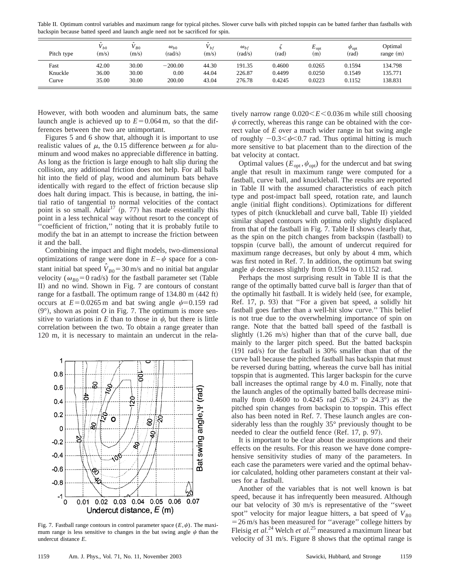Table II. Optimum control variables and maximum range for typical pitches. Slower curve balls with pitched topspin can be batted farther than fastballs with backspin because batted speed and launch angle need not be sacrificed for spin.

| Pitch type | $V_{b0}$<br>(m/s) | $B_0$<br>(m/s) | $\omega_{b0}$<br>(rad/s) | bf<br>(m/s) | $\omega_{bf}$<br>(rad/s) | (rad)  | $E_{\rm opt}$<br>(m) | $\psi_{\rm opt}$<br>(rad) | Optimal<br>range $(m)$ |
|------------|-------------------|----------------|--------------------------|-------------|--------------------------|--------|----------------------|---------------------------|------------------------|
| Fast       | 42.00             | 30.00          | $-200.00$                | 44.30       | 191.35                   | 0.4600 | 0.0265               | 0.1594                    | 134.798                |
| Knuckle    | 36.00             | 30.00          | 0.00                     | 44.04       | 226.87                   | 0.4499 | 0.0250               | 0.1549                    | 135.771                |
| Curve      | 35.00             | 30.00          | 200.00                   | 43.04       | 276.78                   | 0.4245 | 0.0223               | 0.1152                    | 138.831                |

However, with both wooden and aluminum bats, the same launch angle is achieved up to  $E = 0.064$  m, so that the differences between the two are unimportant.

Figures 5 and 6 show that, although it is important to use realistic values of  $\mu$ , the 0.15 difference between  $\mu$  for aluminum and wood makes no appreciable difference in batting. As long as the friction is large enough to halt slip during the collision, any additional friction does not help. For all balls hit into the field of play, wood and aluminum bats behave identically with regard to the effect of friction because slip does halt during impact. This is because, in batting, the initial ratio of tangential to normal velocities of the contact point is so small. Adair<sup>17</sup> (p. 77) has made essentially this point in a less technical way without resort to the concept of ''coefficient of friction,'' noting that it is probably futile to modify the bat in an attempt to increase the friction between it and the ball.

Combining the impact and flight models, two-dimensional optimizations of range were done in  $E-\psi$  space for a constant initial bat speed  $\hat{V}_{B0} = 30$  m/s and no initial bat angular velocity ( $\omega_{B0}$ =0 rad/s) for the fastball parameter set (Table II) and no wind. Shown in Fig. 7 are contours of constant range for a fastball. The optimum range of  $134.80 \text{ m}$  (442 ft) occurs at  $E=0.0265$  m and bat swing angle  $\psi=0.159$  rad  $(9^{\circ})$ , shown as point *O* in Fig. 7. The optimum is more sensitive to variations in  $E$  than to those in  $\psi$ , but there is little correlation between the two. To obtain a range greater than 120 m, it is necessary to maintain an undercut in the rela-



Fig. 7. Fastball range contours in control parameter space  $(E, \psi)$ . The maximum range is less sensitive to changes in the bat swing angle  $\psi$  than the undercut distance *E*.

tively narrow range  $0.020 \leq E \leq 0.036$  m while still choosing  $\psi$  correctly, whereas this range can be obtained with the correct value of *E* over a much wider range in bat swing angle of roughly  $-0.3<\psi<0.7$  rad. Thus optimal hitting is much more sensitive to bat placement than to the direction of the bat velocity at contact.

Optimal values ( $E_{opt}$ ,  $\psi_{opt}$ ) for the undercut and bat swing angle that result in maximum range were computed for a fastball, curve ball, and knuckleball. The results are reported in Table II with the assumed characteristics of each pitch type and post-impact ball speed, rotation rate, and launch angle (initial flight conditions). Optimizations for different types of pitch (knuckleball and curve ball, Table II) yielded similar shaped contours with optima only slightly displaced from that of the fastball in Fig. 7. Table II shows clearly that, as the spin on the pitch changes from backspin (fastball) to topspin (curve ball), the amount of undercut required for maximum range decreases, but only by about 4 mm, which was first noted in Ref. 7. In addition, the optimum bat swing angle  $\psi$  decreases slightly from 0.1594 to 0.1152 rad.

Perhaps the most surprising result in Table II is that the range of the optimally batted curve ball is *larger* than that of the optimally hit fastball. It is widely held (see, for example, Ref. 17, p. 93) that "For a given bat speed, a solidly hit fastball goes farther than a well-hit slow curve.'' This belief is not true due to the overwhelming importance of spin on range. Note that the batted ball speed of the fastball is slightly  $(1.26 \text{ m/s})$  higher than that of the curve ball, due mainly to the larger pitch speed. But the batted backspin  $(191 \text{ rad/s})$  for the fastball is 30% smaller than that of the curve ball because the pitched fastball has backspin that must be reversed during batting, whereas the curve ball has initial topspin that is augmented. This larger backspin for the curve ball increases the optimal range by 4.0 m. Finally, note that the launch angles of the optimally batted balls decrease minimally from 0.4600 to 0.4245 rad  $(26.3° \text{ to } 24.3°)$  as the pitched spin changes from backspin to topspin. This effect also has been noted in Ref. 7. These launch angles are considerably less than the roughly 35° previously thought to be needed to clear the outfield fence (Ref. 17, p. 97).

It is important to be clear about the assumptions and their effects on the results. For this reason we have done comprehensive sensitivity studies of many of the parameters. In each case the parameters were varied and the optimal behavior calculated, holding other parameters constant at their values for a fastball.

Another of the variables that is not well known is bat speed, because it has infrequently been measured. Although our bat velocity of 30 m/s is representative of the ''sweet spot" velocity for major league hitters, a bat speed of  $V_{B0}$  $=$  26 m/s has been measured for "average" college hitters by Fleisig *et al.*<sup>24</sup> Welch *et al.*<sup>25</sup> measured a maximum linear bat velocity of 31 m/s. Figure 8 shows that the optimal range is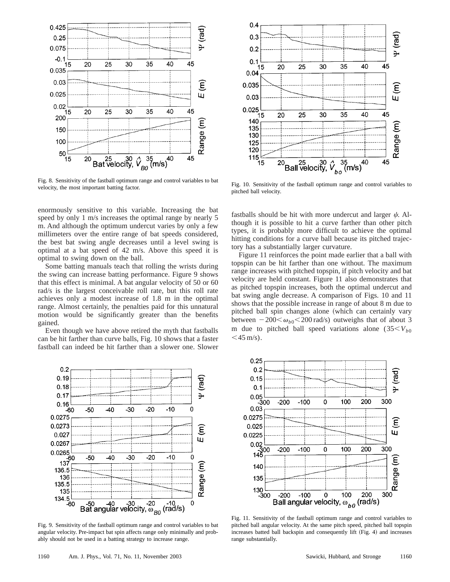

Fig. 8. Sensitivity of the fastball optimum range and control variables to bat velocity, the most important batting factor.

enormously sensitive to this variable. Increasing the bat speed by only 1 m/s increases the optimal range by nearly 5 m. And although the optimum undercut varies by only a few millimeters over the entire range of bat speeds considered, the best bat swing angle decreases until a level swing is optimal at a bat speed of 42 m/s. Above this speed it is optimal to swing down on the ball.

Some batting manuals teach that rolling the wrists during the swing can increase batting performance. Figure 9 shows that this effect is minimal. A bat angular velocity of 50 or 60 rad/s is the largest conceivable roll rate, but this roll rate achieves only a modest increase of 1.8 m in the optimal range. Almost certainly, the penalties paid for this unnatural motion would be significantly greater than the benefits gained.

Even though we have above retired the myth that fastballs can be hit farther than curve balls, Fig. 10 shows that a faster fastball can indeed be hit farther than a slower one. Slower



Fig. 9. Sensitivity of the fastball optimum range and control variables to bat angular velocity. Pre-impact bat spin affects range only minimally and probably should not be used in a batting strategy to increase range.



Fig. 10. Sensitivity of the fastball optimum range and control variables to pitched ball velocity.

fastballs should be hit with more undercut and larger  $\psi$ . Although it is possible to hit a curve farther than other pitch types, it is probably more difficult to achieve the optimal hitting conditions for a curve ball because its pitched trajectory has a substantially larger curvature.

Figure 11 reinforces the point made earlier that a ball with topspin can be hit farther than one without. The maximum range increases with pitched topspin, if pitch velocity and bat velocity are held constant. Figure 11 also demonstrates that as pitched topspin increases, both the optimal undercut and bat swing angle decrease. A comparison of Figs. 10 and 11 shows that the possible increase in range of about 8 m due to pitched ball spin changes alone (which can certainly vary between  $-200<\omega_{b0}<200$  rad/s) outweighs that of about 3 m due to pitched ball speed variations alone  $(35< V_{b0})$  $<$  45 m/s).



Fig. 11. Sensitivity of the fastball optimum range and control variables to pitched ball angular velocity. At the same pitch speed, pitched ball topspin increases batted ball backspin and consequently lift (Fig. 4) and increases range substantially.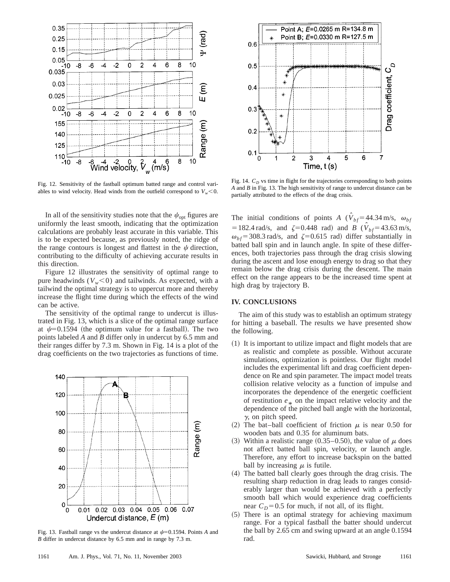

Fig. 12. Sensitivity of the fastball optimum batted range and control variables to wind velocity. Head winds from the outfield correspond to  $V_w < 0$ .

In all of the sensitivity studies note that the  $\psi_{opt}$  figures are uniformly the least smooth, indicating that the optimization calculations are probably least accurate in this variable. This is to be expected because, as previously noted, the ridge of the range contours is longest and flattest in the  $\psi$  direction, contributing to the difficulty of achieving accurate results in this direction.

Figure 12 illustrates the sensitivity of optimal range to pure headwinds  $(V_w<0)$  and tailwinds. As expected, with a tailwind the optimal strategy is to uppercut more and thereby increase the flight time during which the effects of the wind can be active.

The sensitivity of the optimal range to undercut is illustrated in Fig. 13, which is a slice of the optimal range surface at  $\psi$ =0.1594 (the optimum value for a fastball). The two points labeled *A* and *B* differ only in undercut by 6.5 mm and their ranges differ by 7.3 m. Shown in Fig. 14 is a plot of the drag coefficients on the two trajectories as functions of time.



Fig. 13. Fastball range vs the undercut distance at  $\psi$ =0.1594. Points *A* and *B* differ in undercut distance by 6.5 mm and in range by 7.3 m.



Fig. 14.  $C_D$  vs time in flight for the trajectories corresponding to both points *A* and *B* in Fig. 13. The high sensitivity of range to undercut distance can be partially attributed to the effects of the drag crisis.

The initial conditions of points *A* ( $\hat{V}_{bf} = 44.34 \text{ m/s}$ ,  $\omega_{bf}$  $= 182.4$  rad/s, and  $\zeta = 0.448$  rad) and *B* ( $\hat{V}_{bf} = 43.63$  m/s,  $\omega_{bf}$ =308.3 rad/s, and  $\zeta$ =0.615 rad) differ substantially in batted ball spin and in launch angle. In spite of these differences, both trajectories pass through the drag crisis slowing during the ascent and lose enough energy to drag so that they remain below the drag crisis during the descent. The main effect on the range appears to be the increased time spent at high drag by trajectory B.

## **IV. CONCLUSIONS**

The aim of this study was to establish an optimum strategy for hitting a baseball. The results we have presented show the following.

- $(1)$  It is important to utilize impact and flight models that are as realistic and complete as possible. Without accurate simulations, optimization is pointless. Our flight model includes the experimental lift and drag coefficient dependence on Re and spin parameter. The impact model treats collision relative velocity as a function of impulse and incorporates the dependence of the energetic coefficient of restitution  $e_*$  on the impact relative velocity and the dependence of the ritched hell engle with the horizontal dependence of the pitched ball angle with the horizontal,  $\gamma$ , on pitch speed.
- (2) The bat–ball coefficient of friction  $\mu$  is near 0.50 for wooden bats and 0.35 for aluminum bats.
- (3) Within a realistic range (0.35–0.50), the value of  $\mu$  does not affect batted ball spin, velocity, or launch angle. Therefore, any effort to increase backspin on the batted ball by increasing  $\mu$  is futile.
- ~4! The batted ball clearly goes through the drag crisis. The resulting sharp reduction in drag leads to ranges considerably larger than would be achieved with a perfectly smooth ball which would experience drag coefficients near  $C_D$ =0.5 for much, if not all, of its flight.
- ~5! There is an optimal strategy for achieving maximum range. For a typical fastball the batter should undercut the ball by 2.65 cm and swing upward at an angle 0.1594 rad.